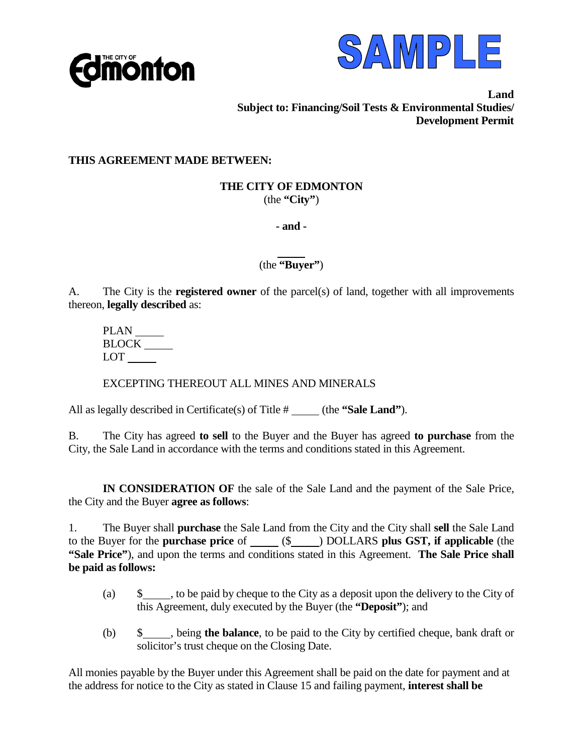



**Land Subject to: Financing/Soil Tests & Environmental Studies/ Development Permit**

## **THIS AGREEMENT MADE BETWEEN:**

#### **THE CITY OF EDMONTON** (the **"City"**)

**- and -** 

 $\overline{a}$ (the **"Buyer"**)

A. The City is the **registered owner** of the parcel(s) of land, together with all improvements thereon, **legally described** as:

PLAN BLOCK LOT

EXCEPTING THEREOUT ALL MINES AND MINERALS

All as legally described in Certificate(s) of Title # (the **"Sale Land"**).

B. The City has agreed **to sell** to the Buyer and the Buyer has agreed **to purchase** from the City, the Sale Land in accordance with the terms and conditions stated in this Agreement.

**IN CONSIDERATION OF** the sale of the Sale Land and the payment of the Sale Price, the City and the Buyer **agree as follows**:

1. The Buyer shall **purchase** the Sale Land from the City and the City shall **sell** the Sale Land to the Buyer for the **purchase price** of (\$ ) DOLLARS **plus GST, if applicable** (the **"Sale Price"**), and upon the terms and conditions stated in this Agreement. **The Sale Price shall be paid as follows:**

- (a) \$ , to be paid by cheque to the City as a deposit upon the delivery to the City of this Agreement, duly executed by the Buyer (the **"Deposit"**); and
- (b) \$ , being **the balance**, to be paid to the City by certified cheque, bank draft or solicitor's trust cheque on the Closing Date.

All monies payable by the Buyer under this Agreement shall be paid on the date for payment and at the address for notice to the City as stated in Clause 15 and failing payment, **interest shall be**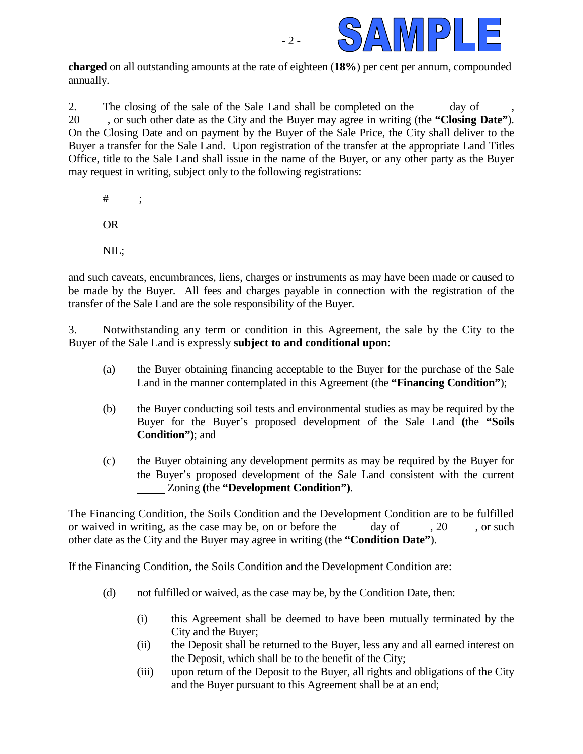

**charged** on all outstanding amounts at the rate of eighteen (**18%**) per cent per annum, compounded annually.

 $-2 -$ 

2. The closing of the sale of the Sale Land shall be completed on the day of , 20 , or such other date as the City and the Buyer may agree in writing (the **"Closing Date"**). On the Closing Date and on payment by the Buyer of the Sale Price, the City shall deliver to the Buyer a transfer for the Sale Land. Upon registration of the transfer at the appropriate Land Titles Office, title to the Sale Land shall issue in the name of the Buyer, or any other party as the Buyer may request in writing, subject only to the following registrations:

 $\#$  ; OR NIL;

and such caveats, encumbrances, liens, charges or instruments as may have been made or caused to be made by the Buyer. All fees and charges payable in connection with the registration of the transfer of the Sale Land are the sole responsibility of the Buyer.

3. Notwithstanding any term or condition in this Agreement, the sale by the City to the Buyer of the Sale Land is expressly **subject to and conditional upon**:

- (a) the Buyer obtaining financing acceptable to the Buyer for the purchase of the Sale Land in the manner contemplated in this Agreement (the **"Financing Condition"**);
- (b) the Buyer conducting soil tests and environmental studies as may be required by the Buyer for the Buyer's proposed development of the Sale Land **(**the **"Soils Condition")**; and
- (c) the Buyer obtaining any development permits as may be required by the Buyer for the Buyer's proposed development of the Sale Land consistent with the current Zoning **(**the **"Development Condition")**.

The Financing Condition, the Soils Condition and the Development Condition are to be fulfilled or waived in writing, as the case may be, on or before the  $\_\_\_\_$  day of  $\_\_\_\_$ , 20  $\_\_\_\_$ , or such other date as the City and the Buyer may agree in writing (the **"Condition Date"**).

If the Financing Condition, the Soils Condition and the Development Condition are:

- (d) not fulfilled or waived, as the case may be, by the Condition Date, then:
	- (i) this Agreement shall be deemed to have been mutually terminated by the City and the Buyer;
	- (ii) the Deposit shall be returned to the Buyer, less any and all earned interest on the Deposit, which shall be to the benefit of the City;
	- (iii) upon return of the Deposit to the Buyer, all rights and obligations of the City and the Buyer pursuant to this Agreement shall be at an end;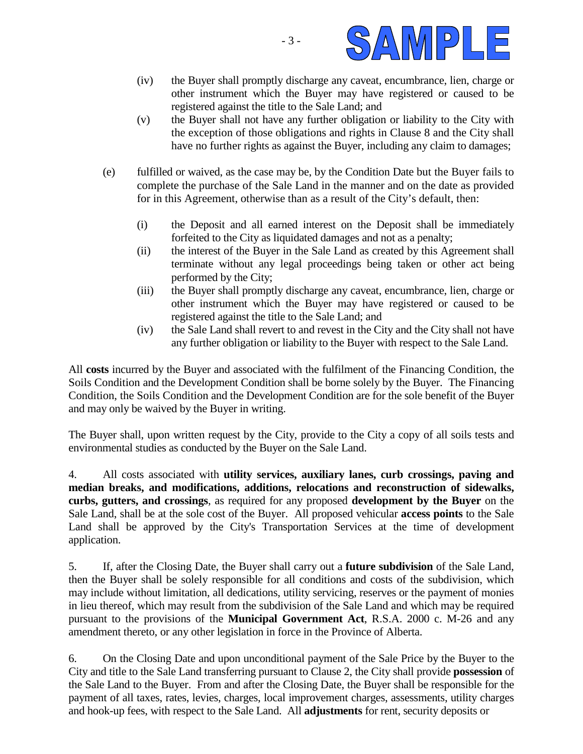

- (iv) the Buyer shall promptly discharge any caveat, encumbrance, lien, charge or other instrument which the Buyer may have registered or caused to be registered against the title to the Sale Land; and
- (v) the Buyer shall not have any further obligation or liability to the City with the exception of those obligations and rights in Clause 8 and the City shall have no further rights as against the Buyer, including any claim to damages;
- (e) fulfilled or waived, as the case may be, by the Condition Date but the Buyer fails to complete the purchase of the Sale Land in the manner and on the date as provided for in this Agreement, otherwise than as a result of the City's default, then:
	- (i) the Deposit and all earned interest on the Deposit shall be immediately forfeited to the City as liquidated damages and not as a penalty;
	- (ii) the interest of the Buyer in the Sale Land as created by this Agreement shall terminate without any legal proceedings being taken or other act being performed by the City;
	- (iii) the Buyer shall promptly discharge any caveat, encumbrance, lien, charge or other instrument which the Buyer may have registered or caused to be registered against the title to the Sale Land; and
	- (iv) the Sale Land shall revert to and revest in the City and the City shall not have any further obligation or liability to the Buyer with respect to the Sale Land.

All **costs** incurred by the Buyer and associated with the fulfilment of the Financing Condition, the Soils Condition and the Development Condition shall be borne solely by the Buyer. The Financing Condition, the Soils Condition and the Development Condition are for the sole benefit of the Buyer and may only be waived by the Buyer in writing.

The Buyer shall, upon written request by the City, provide to the City a copy of all soils tests and environmental studies as conducted by the Buyer on the Sale Land.

4. All costs associated with **utility services, auxiliary lanes, curb crossings, paving and median breaks, and modifications, additions, relocations and reconstruction of sidewalks, curbs, gutters, and crossings**, as required for any proposed **development by the Buyer** on the Sale Land, shall be at the sole cost of the Buyer. All proposed vehicular **access points** to the Sale Land shall be approved by the City's Transportation Services at the time of development application.

5. If, after the Closing Date, the Buyer shall carry out a **future subdivision** of the Sale Land, then the Buyer shall be solely responsible for all conditions and costs of the subdivision, which may include without limitation, all dedications, utility servicing, reserves or the payment of monies in lieu thereof, which may result from the subdivision of the Sale Land and which may be required pursuant to the provisions of the **Municipal Government Act**, R.S.A. 2000 c. M-26 and any amendment thereto, or any other legislation in force in the Province of Alberta.

6. On the Closing Date and upon unconditional payment of the Sale Price by the Buyer to the City and title to the Sale Land transferring pursuant to Clause 2, the City shall provide **possession** of the Sale Land to the Buyer. From and after the Closing Date, the Buyer shall be responsible for the payment of all taxes, rates, levies, charges, local improvement charges, assessments, utility charges and hook-up fees, with respect to the Sale Land. All **adjustments** for rent, security deposits or

- 3 -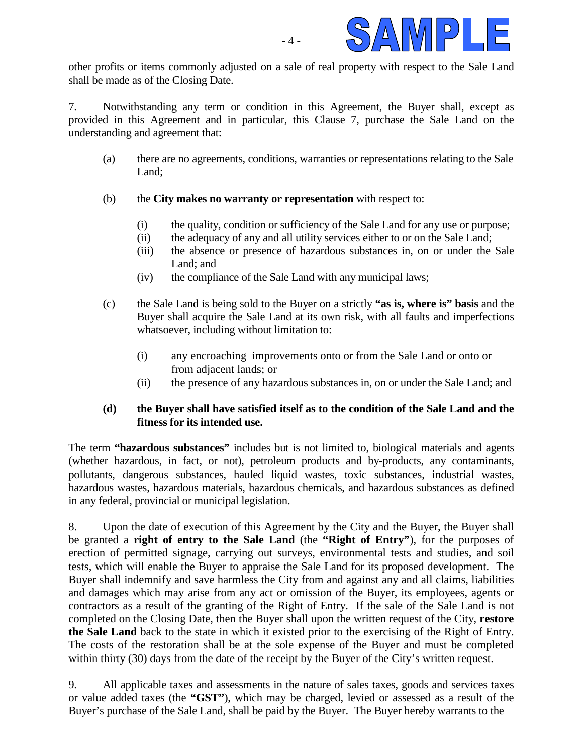

other profits or items commonly adjusted on a sale of real property with respect to the Sale Land shall be made as of the Closing Date.

7. Notwithstanding any term or condition in this Agreement, the Buyer shall, except as provided in this Agreement and in particular, this Clause 7, purchase the Sale Land on the understanding and agreement that:

- (a) there are no agreements, conditions, warranties or representations relating to the Sale Land;
- (b) the **City makes no warranty or representation** with respect to:
	- (i) the quality, condition or sufficiency of the Sale Land for any use or purpose;
	- (ii) the adequacy of any and all utility services either to or on the Sale Land;
	- (iii) the absence or presence of hazardous substances in, on or under the Sale Land; and
	- (iv) the compliance of the Sale Land with any municipal laws;
- (c) the Sale Land is being sold to the Buyer on a strictly **"as is, where is" basis** and the Buyer shall acquire the Sale Land at its own risk, with all faults and imperfections whatsoever, including without limitation to:
	- (i) any encroaching improvements onto or from the Sale Land or onto or from adjacent lands; or
	- (ii) the presence of any hazardous substances in, on or under the Sale Land; and

### **(d) the Buyer shall have satisfied itself as to the condition of the Sale Land and the fitness for its intended use.**

The term **"hazardous substances"** includes but is not limited to, biological materials and agents (whether hazardous, in fact, or not), petroleum products and by-products, any contaminants, pollutants, dangerous substances, hauled liquid wastes, toxic substances, industrial wastes, hazardous wastes, hazardous materials, hazardous chemicals, and hazardous substances as defined in any federal, provincial or municipal legislation.

8. Upon the date of execution of this Agreement by the City and the Buyer, the Buyer shall be granted a **right of entry to the Sale Land** (the **"Right of Entry"**), for the purposes of erection of permitted signage, carrying out surveys, environmental tests and studies, and soil tests, which will enable the Buyer to appraise the Sale Land for its proposed development. The Buyer shall indemnify and save harmless the City from and against any and all claims, liabilities and damages which may arise from any act or omission of the Buyer, its employees, agents or contractors as a result of the granting of the Right of Entry. If the sale of the Sale Land is not completed on the Closing Date, then the Buyer shall upon the written request of the City, **restore the Sale Land** back to the state in which it existed prior to the exercising of the Right of Entry. The costs of the restoration shall be at the sole expense of the Buyer and must be completed within thirty (30) days from the date of the receipt by the Buyer of the City's written request.

9. All applicable taxes and assessments in the nature of sales taxes, goods and services taxes or value added taxes (the **"GST"**), which may be charged, levied or assessed as a result of the Buyer's purchase of the Sale Land, shall be paid by the Buyer. The Buyer hereby warrants to the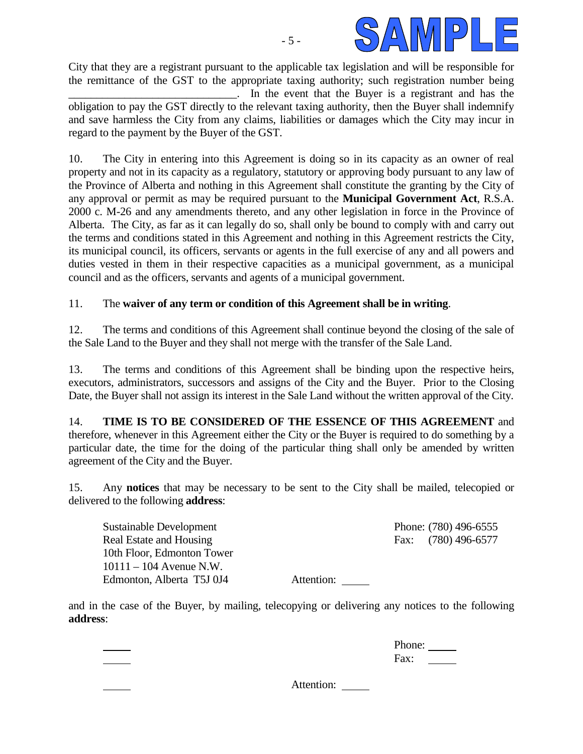

City that they are a registrant pursuant to the applicable tax legislation and will be responsible for the remittance of the GST to the appropriate taxing authority; such registration number being \_\_\_\_\_\_\_\_\_\_\_\_\_\_\_\_\_\_\_\_\_\_\_\_\_\_\_\_\_\_. In the event that the Buyer is a registrant and has the obligation to pay the GST directly to the relevant taxing authority, then the Buyer shall indemnify and save harmless the City from any claims, liabilities or damages which the City may incur in regard to the payment by the Buyer of the GST.

10. The City in entering into this Agreement is doing so in its capacity as an owner of real property and not in its capacity as a regulatory, statutory or approving body pursuant to any law of the Province of Alberta and nothing in this Agreement shall constitute the granting by the City of any approval or permit as may be required pursuant to the **Municipal Government Act**, R.S.A. 2000 c. M-26 and any amendments thereto, and any other legislation in force in the Province of Alberta. The City, as far as it can legally do so, shall only be bound to comply with and carry out the terms and conditions stated in this Agreement and nothing in this Agreement restricts the City, its municipal council, its officers, servants or agents in the full exercise of any and all powers and duties vested in them in their respective capacities as a municipal government, as a municipal council and as the officers, servants and agents of a municipal government.

### 11. The **waiver of any term or condition of this Agreement shall be in writing**.

12. The terms and conditions of this Agreement shall continue beyond the closing of the sale of the Sale Land to the Buyer and they shall not merge with the transfer of the Sale Land.

13. The terms and conditions of this Agreement shall be binding upon the respective heirs, executors, administrators, successors and assigns of the City and the Buyer. Prior to the Closing Date, the Buyer shall not assign its interest in the Sale Land without the written approval of the City.

14. **TIME IS TO BE CONSIDERED OF THE ESSENCE OF THIS AGREEMENT** and therefore, whenever in this Agreement either the City or the Buyer is required to do something by a particular date, the time for the doing of the particular thing shall only be amended by written agreement of the City and the Buyer.

15. Any **notices** that may be necessary to be sent to the City shall be mailed, telecopied or delivered to the following **address**:

Sustainable Development Phone: (780) 496-6555 Real Estate and Housing Fax: (780) 496-6577 10th Floor, Edmonton Tower 10111 – 104 Avenue N.W. Edmonton, Alberta T5J 0J4 Attention:

and in the case of the Buyer, by mailing, telecopying or delivering any notices to the following **address**:

> Phone: Fax:

Attention: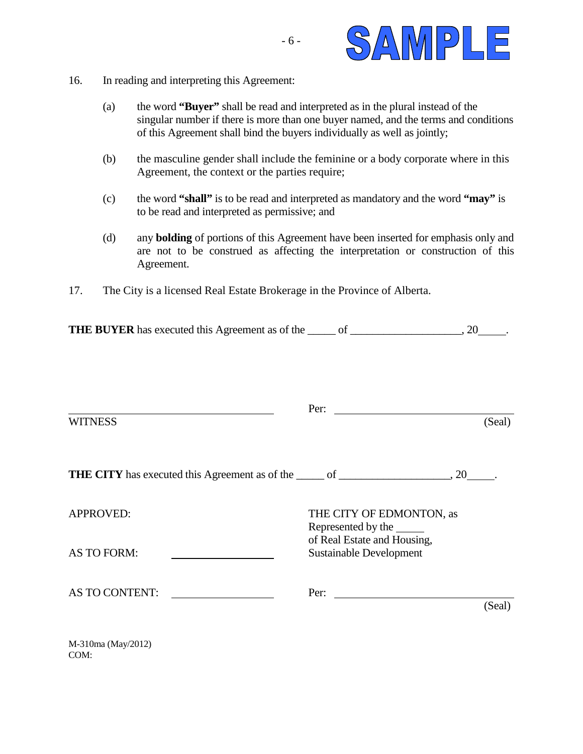

- 16. In reading and interpreting this Agreement:
	- (a) the word **"Buyer"** shall be read and interpreted as in the plural instead of the singular number if there is more than one buyer named, and the terms and conditions of this Agreement shall bind the buyers individually as well as jointly;
	- (b) the masculine gender shall include the feminine or a body corporate where in this Agreement, the context or the parties require;
	- (c) the word **"shall"** is to be read and interpreted as mandatory and the word **"may"** is to be read and interpreted as permissive; and
	- (d) any **bolding** of portions of this Agreement have been inserted for emphasis only and are not to be construed as affecting the interpretation or construction of this Agreement.
- 17. The City is a licensed Real Estate Brokerage in the Province of Alberta.

**THE BUYER** has executed this Agreement as of the \_\_\_\_\_ of \_\_\_\_\_\_\_\_\_\_\_\_\_\_\_\_, 20\_\_\_\_\_.

|                                                                                                   | Per:<br><u> 1980 - John Stein, Amerikaansk politiker (</u>                             |        |
|---------------------------------------------------------------------------------------------------|----------------------------------------------------------------------------------------|--------|
| <b>WITNESS</b>                                                                                    |                                                                                        | (Seal) |
| <b>THE CITY</b> has executed this Agreement as of the ______ of ______________________, 20______. |                                                                                        |        |
| <b>APPROVED:</b>                                                                                  | THE CITY OF EDMONTON, as<br>Represented by the ________<br>of Real Estate and Housing, |        |
| AS TO FORM:                                                                                       | <b>Sustainable Development</b>                                                         |        |
| AS TO CONTENT:<br><u>and the state of the state of the state</u>                                  |                                                                                        | (Seal) |
| M-310ma (May/2012)<br>COM:                                                                        |                                                                                        |        |